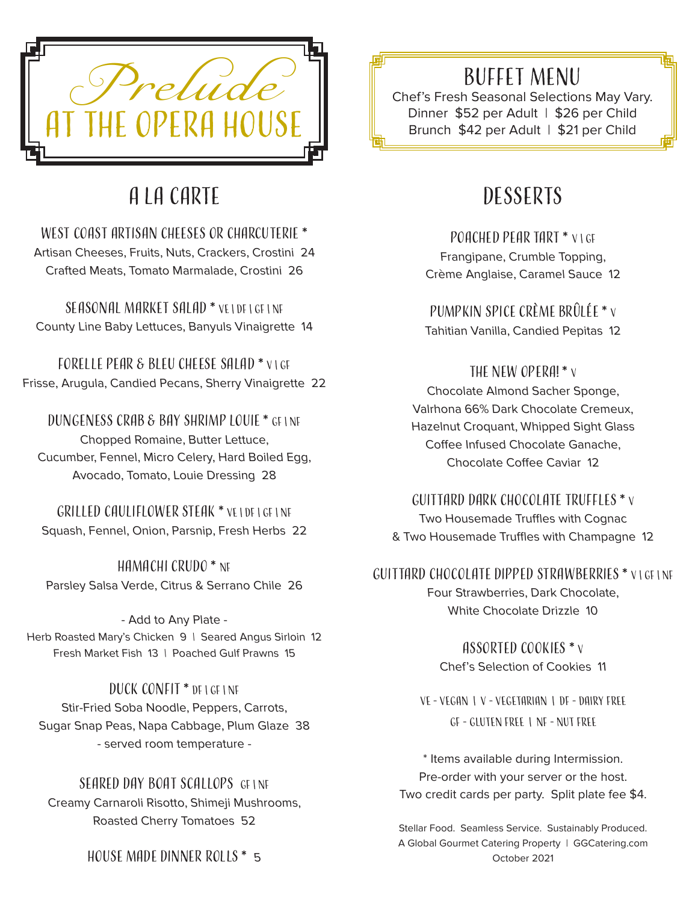

# A La Carte

WEST COAST ARTISAN CHEESES OR CHARCUTERIE \* Artisan Cheeses, Fruits, Nuts, Crackers, Crostini 24 Crafted Meats, Tomato Marmalade, Crostini 26

Seasonal Market Salad \* VE | DF | GF | NF County Line Baby Lettuces, Banyuls Vinaigrette 14

Forelle Pear & Bleu Cheese Salad \* V | GF Frisse, Arugula, Candied Pecans, Sherry Vinaigrette 22

Dungeness Crab & Bay Shrimp Louie \* GF | NF Chopped Romaine, Butter Lettuce, Cucumber, Fennel, Micro Celery, Hard Boiled Egg, Avocado, Tomato, Louie Dressing 28

Grilled Cauliflower Steak \* VE | DF | GF | Nf Squash, Fennel, Onion, Parsnip, Fresh Herbs 22

Hamachi Crudo \* NF Parsley Salsa Verde, Citrus & Serrano Chile 26

- Add to Any Plate - Herb Roasted Mary's Chicken 9 | Seared Angus Sirloin 12 Fresh Market Fish 13 | Poached Gulf Prawns 15

Duck Confit \* DF | GF | Nf Stir-Fried Soba Noodle, Peppers, Carrots, Sugar Snap Peas, Napa Cabbage, Plum Glaze 38 - served room temperature -

SEARED DAY BOAT SCALLOPS GF INF Creamy Carnaroli Risotto, Shimeji Mushrooms, Roasted Cherry Tomatoes 52

HOUSE MADE DINNER ROLLS  $*$  5

### Buffet Menu

Chef's Fresh Seasonal Selections May Vary. Dinner \$52 per Adult | \$26 per Child Brunch \$42 per Adult | \$21 per Child

## **DESSERTS**

POACHED PEAR TART \* VIGE Frangipane, Crumble Topping, Crème Anglaise, Caramel Sauce 12

Pumpkin Spice Crème Brûlée \* <sup>V</sup> Tahitian Vanilla, Candied Pepitas 12

THE NEW OPERA! \* v Chocolate Almond Sacher Sponge, Valrhona 66% Dark Chocolate Cremeux, Hazelnut Croquant, Whipped Sight Glass Coffee Infused Chocolate Ganache, Chocolate Coffee Caviar 12

#### Guittard Dark Chocolate Truffles \* <sup>V</sup>

Two Housemade Truffles with Cognac & Two Housemade Truffles with Champagne 12

GUITTARD CHOCOLATE DIPPED STRAWBERRIES \* VIGELNE Four Strawberries, Dark Chocolate, White Chocolate Drizzle 10

> Assorted Cookies \* <sup>V</sup> Chef's Selection of Cookies 11

VE - Vegan | V - Vegetarian | DF - Dairy Free GF - Gluten Free | NF - Nut Free

\* Items available during Intermission. Pre-order with your server or the host. Two credit cards per party. Split plate fee \$4.

Stellar Food. Seamless Service. Sustainably Produced. A Global Gourmet Catering Property | GGCatering.com October 2021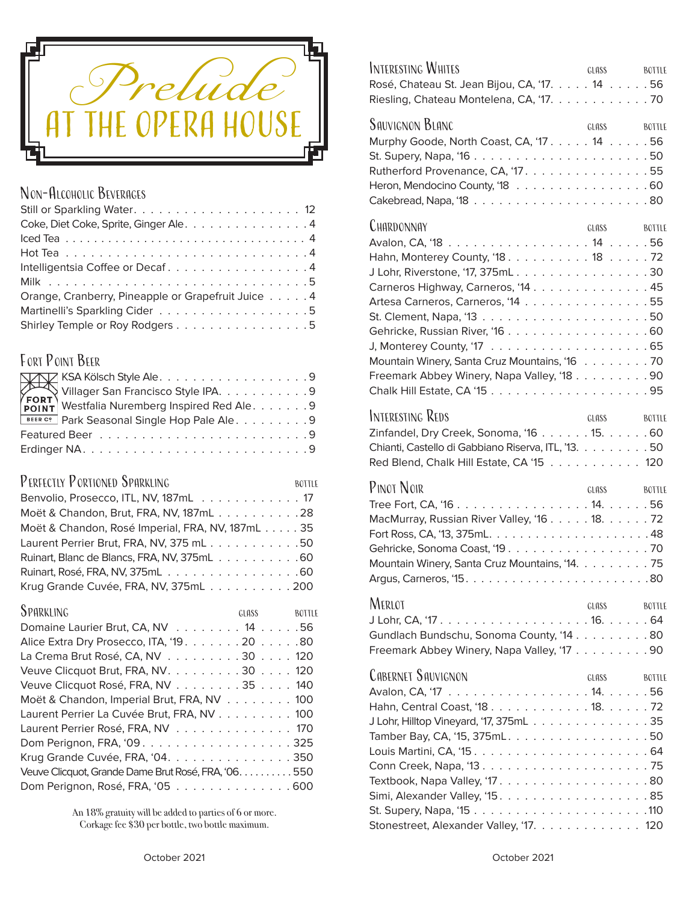

#### NON-ALCOHOLIC BEVERAGES

| Coke, Diet Coke, Sprite, Ginger Ale. 4             |
|----------------------------------------------------|
|                                                    |
|                                                    |
| Intelligentsia Coffee or Decaf4                    |
|                                                    |
| Orange, Cranberry, Pineapple or Grapefruit Juice 4 |
|                                                    |
| Shirley Temple or Roy Rodgers 5                    |

#### FORT POINT BEER

| <b>BEER C?</b> Park Seasonal Single Hop Pale Ale. 9 |
|-----------------------------------------------------|
|                                                     |
|                                                     |

#### PERFECTLY PORTIONED SPARKLING BOTTLE

| Moët & Chandon, Brut, FRA, NV, 187mL28          |  |
|-------------------------------------------------|--|
| Moët & Chandon, Rosé Imperial, FRA, NV, 187mL35 |  |
| Laurent Perrier Brut, FRA, NV, 375 mL50         |  |
| Ruinart, Blanc de Blancs, FRA, NV, 375mL 60     |  |
|                                                 |  |
| Krug Grande Cuvée, FRA, NV, 375mL200            |  |

| GLASS <b>SECURE 2006</b>                             | <b>BOTTLE</b> |
|------------------------------------------------------|---------------|
| Domaine Laurier Brut, CA, NV 14 56                   |               |
| Alice Extra Dry Prosecco, ITA, '19. 20 80            |               |
| La Crema Brut Rosé, CA, NV 30 120                    |               |
| Veuve Clicquot Brut, FRA, NV. 30 120                 |               |
| Veuve Clicquot Rosé, FRA, NV 35 140                  |               |
| Moët & Chandon, Imperial Brut, FRA, NV 100           |               |
| Laurent Perrier La Cuvée Brut, FRA, NV 100           |               |
| Laurent Perrier Rosé, FRA, NV 170                    |               |
|                                                      |               |
| Krug Grande Cuvée, FRA, '04. 350                     |               |
| Veuve Clicquot, Grande Dame Brut Rosé, FRA, '06. 550 |               |
| Dom Perignon, Rosé, FRA, '05 600                     |               |
|                                                      |               |

An 18% gratuity will be added to parties of 6 or more. Corkage fee \$30 per bottle, two bottle maximum.

| Interesting Whites<br>Rosé, Chateau St. Jean Bijou, CA, '17. 14 56<br>Riesling, Chateau Montelena, CA, '17. 70                                                                                                                                                 | GLASS BOTTLE                       |
|----------------------------------------------------------------------------------------------------------------------------------------------------------------------------------------------------------------------------------------------------------------|------------------------------------|
| <b>SAUVIGNON BLANC</b><br>Murphy Goode, North Coast, CA, '17. 14 56<br>Rutherford Provenance, CA, '17. 55<br>Heron, Mendocino County, '18 60                                                                                                                   | GLASS BOTTLE                       |
| CHARDONNAY<br>Hahn, Monterey County, '18. 18 72<br>J Lohr, Riverstone, '17, 375mL30<br>Carneros Highway, Carneros, '14 45<br>Artesa Carneros, Carneros, '14 55<br>Mountain Winery, Santa Cruz Mountains, '16 70<br>Freemark Abbey Winery, Napa Valley, '18. 90 | GLASS<br><b>BOTTLE</b>             |
| Interesting Reds<br>Zinfandel, Dry Creek, Sonoma, '16 15. 60<br>Chianti, Castello di Gabbiano Riserva, ITL, '13. 50<br>Red Blend, Chalk Hill Estate, CA '15 120                                                                                                | GLASS<br><b>BOTTLE</b>             |
| Pinot Noir<br>MacMurray, Russian River Valley, '16. 18. 72<br>Mountain Winery, Santa Cruz Mountains, '14. 75                                                                                                                                                   | GLASS BOTTLE                       |
| MERLOT<br>Gundlach Bundschu, Sonoma County, '14 80<br>Freemark Abbey Winery, Napa Valley, '17 90                                                                                                                                                               | GLASS<br><b>BOTTLE</b>             |
| CABERNET SAUVIGNON<br>J Lohr, Hilltop Vineyard, '17, 375mL35<br>Tamber Bay, CA, '15, 375mL. 50<br>Simi, Alexander Valley, '15. $\dots \dots \dots \dots \dots \dots$                                                                                           | GLASS <sub></sub><br><b>BOTTLE</b> |
| Stonestreet, Alexander Valley, '17. 120                                                                                                                                                                                                                        |                                    |